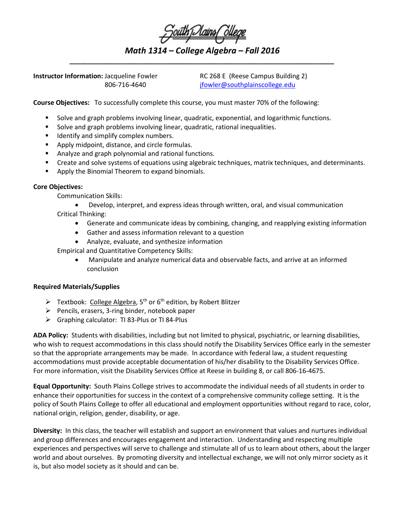| South Dains Ollege                      |  |  |
|-----------------------------------------|--|--|
|                                         |  |  |
| Math 1314 – College Algebra – Fall 2016 |  |  |

*\_\_\_\_\_\_\_\_\_\_\_\_\_\_\_\_\_\_\_\_\_\_\_\_\_\_\_\_\_\_\_\_\_\_\_\_\_\_\_\_\_\_\_\_\_\_\_\_\_\_\_\_\_\_\_\_\_\_\_\_\_\_\_\_\_\_\_\_\_\_\_\_\_*

**Instructor Information:** Jacqueline Fowler RC 268 E (Reese Campus Building 2)

806-716-4640 [jfowler@southplainscollege.edu](mailto:jfowler@southplainscollege.edu)

**Course Objectives:** To successfully complete this course, you must master 70% of the following:

- Solve and graph problems involving linear, quadratic, exponential, and logarithmic functions.
- Solve and graph problems involving linear, quadratic, rational inequalities.
- **If all identify and simplify complex numbers.**
- Apply midpoint, distance, and circle formulas.
- Analyze and graph polynomial and rational functions.
- Create and solve systems of equations using algebraic techniques, matrix techniques, and determinants.
- **Apply the Binomial Theorem to expand binomials.**

## **Core Objectives:**

Communication Skills:

• Develop, interpret, and express ideas through written, oral, and visual communication Critical Thinking:

- Generate and communicate ideas by combining, changing, and reapplying existing information
- Gather and assess information relevant to a question
- Analyze, evaluate, and synthesize information

Empirical and Quantitative Competency Skills:

• Manipulate and analyze numerical data and observable facts, and arrive at an informed conclusion

## **Required Materials/Supplies**

- Fextbook: College Algebra,  $5^{th}$  or  $6^{th}$  edition, by Robert Blitzer
- $\triangleright$  Pencils, erasers, 3-ring binder, notebook paper
- Graphing calculator: TI 83-Plus or TI 84-Plus

**ADA Policy:** Students with disabilities, including but not limited to physical, psychiatric, or learning disabilities, who wish to request accommodations in this class should notify the Disability Services Office early in the semester so that the appropriate arrangements may be made. In accordance with federal law, a student requesting accommodations must provide acceptable documentation of his/her disability to the Disability Services Office. For more information, visit the Disability Services Office at Reese in building 8, or call 806-16-4675.

**Equal Opportunity:** South Plains College strives to accommodate the individual needs of all students in order to enhance their opportunities for success in the context of a comprehensive community college setting. It is the policy of South Plains College to offer all educational and employment opportunities without regard to race, color, national origin, religion, gender, disability, or age.

**Diversity:** In this class, the teacher will establish and support an environment that values and nurtures individual and group differences and encourages engagement and interaction. Understanding and respecting multiple experiences and perspectives will serve to challenge and stimulate all of us to learn about others, about the larger world and about ourselves. By promoting diversity and intellectual exchange, we will not only mirror society as it is, but also model society as it should and can be.